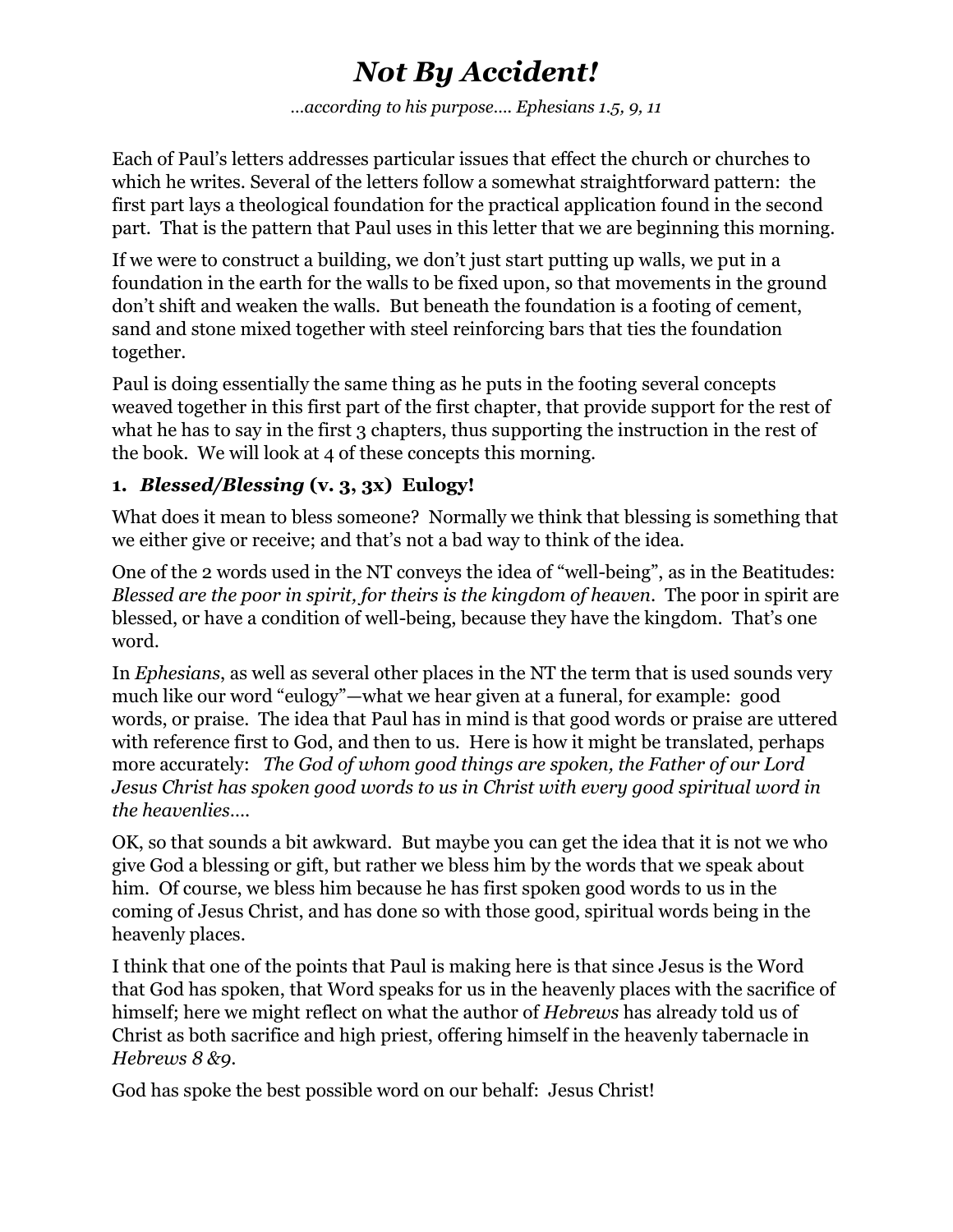# *Not By Accident!*

*…according to his purpose…. Ephesians 1.5, 9, 11*

Each of Paul's letters addresses particular issues that effect the church or churches to which he writes. Several of the letters follow a somewhat straightforward pattern: the first part lays a theological foundation for the practical application found in the second part. That is the pattern that Paul uses in this letter that we are beginning this morning.

If we were to construct a building, we don't just start putting up walls, we put in a foundation in the earth for the walls to be fixed upon, so that movements in the ground don't shift and weaken the walls. But beneath the foundation is a footing of cement, sand and stone mixed together with steel reinforcing bars that ties the foundation together.

Paul is doing essentially the same thing as he puts in the footing several concepts weaved together in this first part of the first chapter, that provide support for the rest of what he has to say in the first 3 chapters, thus supporting the instruction in the rest of the book. We will look at 4 of these concepts this morning.

#### **1.** *Blessed/Blessing* **(v. 3, 3x) Eulogy!**

What does it mean to bless someone? Normally we think that blessing is something that we either give or receive; and that's not a bad way to think of the idea.

One of the 2 words used in the NT conveys the idea of "well-being", as in the Beatitudes: *Blessed are the poor in spirit, for theirs is the kingdom of heaven*. The poor in spirit are blessed, or have a condition of well-being, because they have the kingdom. That's one word.

In *Ephesians*, as well as several other places in the NT the term that is used sounds very much like our word "eulogy"—what we hear given at a funeral, for example: good words, or praise. The idea that Paul has in mind is that good words or praise are uttered with reference first to God, and then to us. Here is how it might be translated, perhaps more accurately: *The God of whom good things are spoken, the Father of our Lord Jesus Christ has spoken good words to us in Christ with every good spiritual word in the heavenlies*….

OK, so that sounds a bit awkward. But maybe you can get the idea that it is not we who give God a blessing or gift, but rather we bless him by the words that we speak about him. Of course, we bless him because he has first spoken good words to us in the coming of Jesus Christ, and has done so with those good, spiritual words being in the heavenly places.

I think that one of the points that Paul is making here is that since Jesus is the Word that God has spoken, that Word speaks for us in the heavenly places with the sacrifice of himself; here we might reflect on what the author of *Hebrews* has already told us of Christ as both sacrifice and high priest, offering himself in the heavenly tabernacle in *Hebrews 8 &9*.

God has spoke the best possible word on our behalf: Jesus Christ!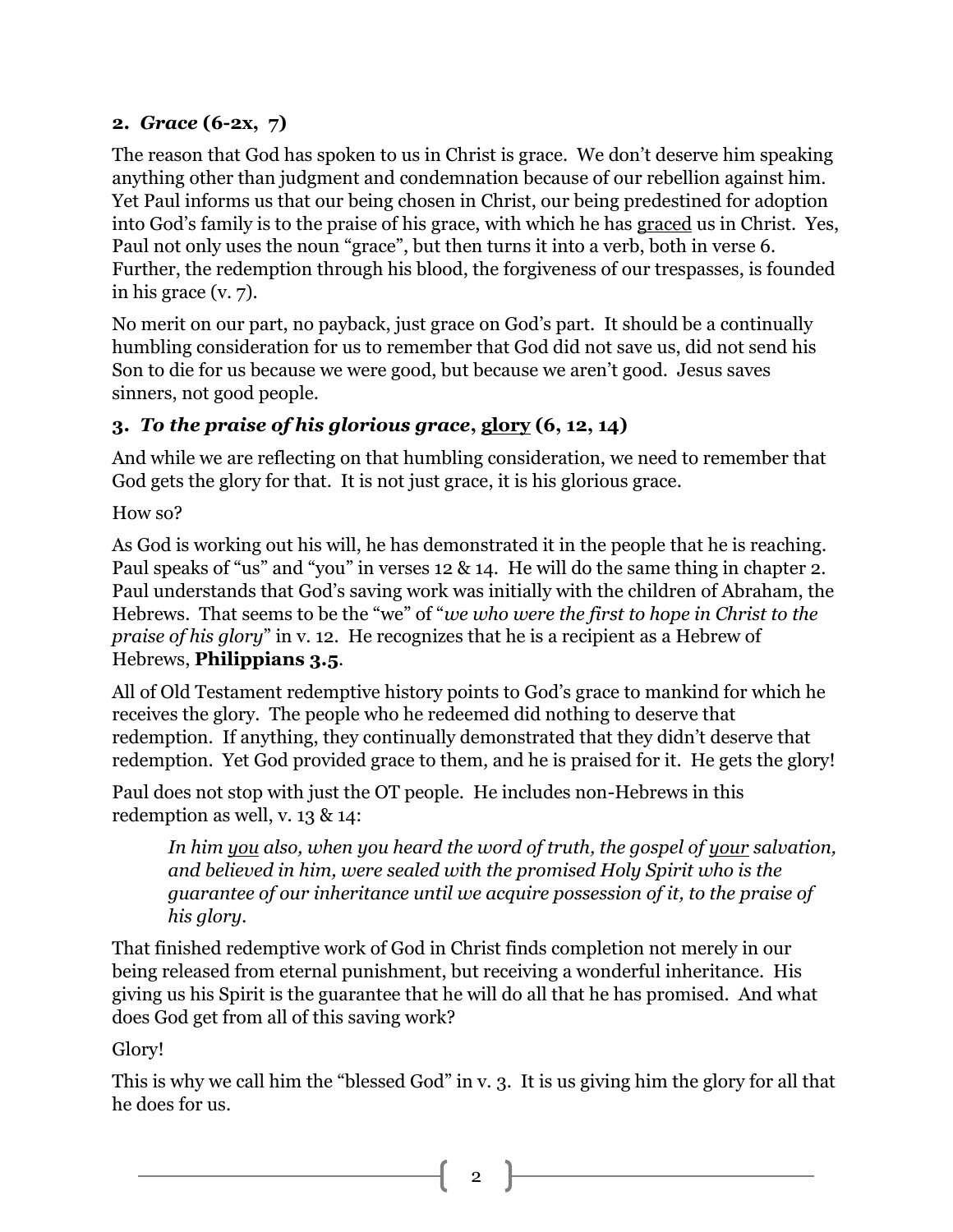#### **2.** *Grace* **(6-2x, 7)**

The reason that God has spoken to us in Christ is grace. We don't deserve him speaking anything other than judgment and condemnation because of our rebellion against him. Yet Paul informs us that our being chosen in Christ, our being predestined for adoption into God's family is to the praise of his grace, with which he has graced us in Christ. Yes, Paul not only uses the noun "grace", but then turns it into a verb, both in verse 6. Further, the redemption through his blood, the forgiveness of our trespasses, is founded in his grace (v. 7).

No merit on our part, no payback, just grace on God's part. It should be a continually humbling consideration for us to remember that God did not save us, did not send his Son to die for us because we were good, but because we aren't good. Jesus saves sinners, not good people.

### **3.** *To the praise of his glorious grace***, glory (6, 12, 14)**

And while we are reflecting on that humbling consideration, we need to remember that God gets the glory for that. It is not just grace, it is his glorious grace.

How so?

As God is working out his will, he has demonstrated it in the people that he is reaching. Paul speaks of "us" and "you" in verses 12 & 14. He will do the same thing in chapter 2. Paul understands that God's saving work was initially with the children of Abraham, the Hebrews. That seems to be the "we" of "*we who were the first to hope in Christ to the praise of his glory*" in v. 12. He recognizes that he is a recipient as a Hebrew of Hebrews, **Philippians 3.5**.

All of Old Testament redemptive history points to God's grace to mankind for which he receives the glory. The people who he redeemed did nothing to deserve that redemption. If anything, they continually demonstrated that they didn't deserve that redemption. Yet God provided grace to them, and he is praised for it. He gets the glory!

Paul does not stop with just the OT people. He includes non-Hebrews in this redemption as well, v. 13 & 14:

*In him you also, when you heard the word of truth, the gospel of your salvation, and believed in him, were sealed with the promised Holy Spirit who is the guarantee of our inheritance until we acquire possession of it, to the praise of his glory.*

That finished redemptive work of God in Christ finds completion not merely in our being released from eternal punishment, but receiving a wonderful inheritance. His giving us his Spirit is the guarantee that he will do all that he has promised. And what does God get from all of this saving work?

Glory!

This is why we call him the "blessed God" in v. 3. It is us giving him the glory for all that he does for us.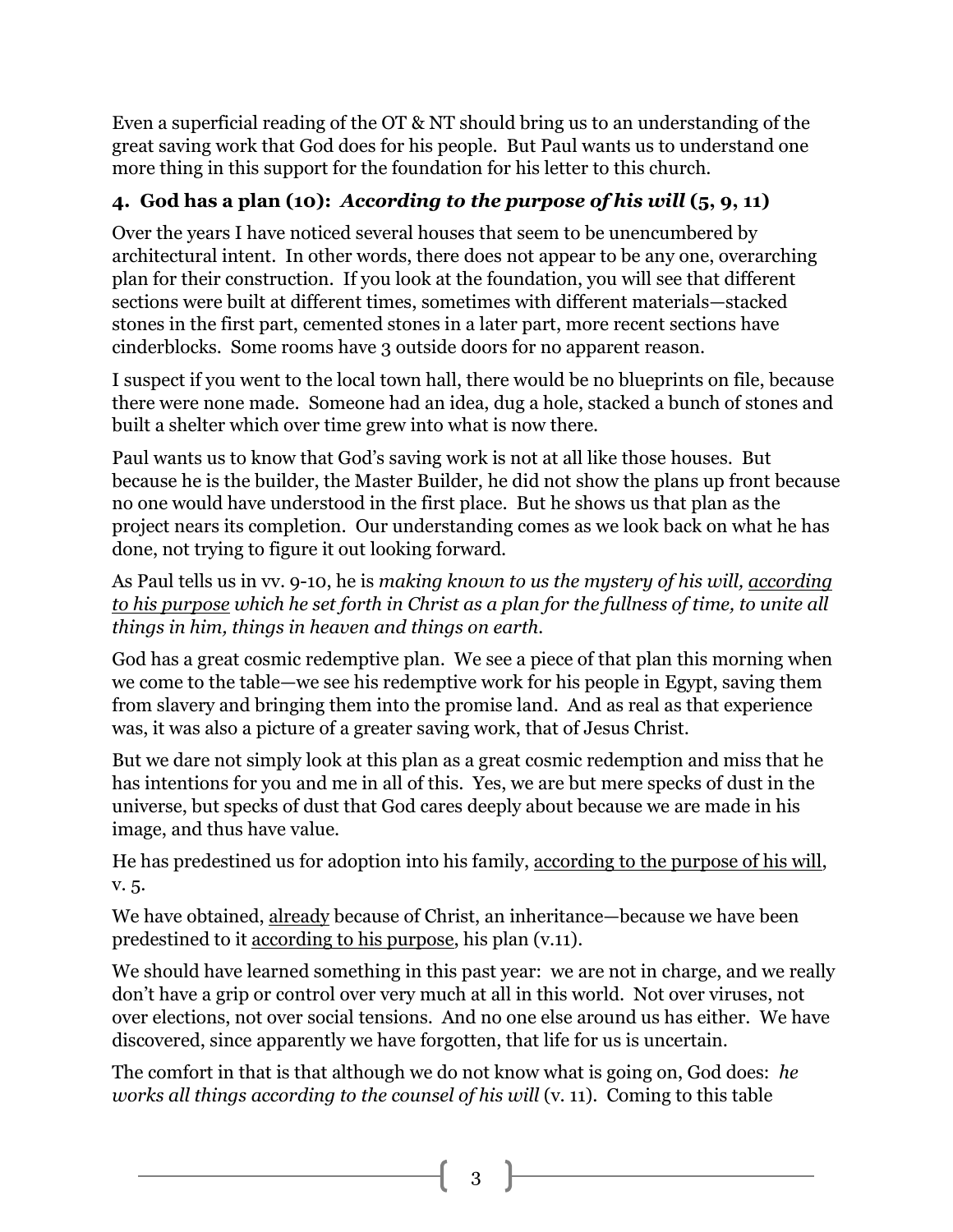Even a superficial reading of the OT & NT should bring us to an understanding of the great saving work that God does for his people. But Paul wants us to understand one more thing in this support for the foundation for his letter to this church.

## **4. God has a plan (10):** *According to the purpose of his will* **(5, 9, 11)**

Over the years I have noticed several houses that seem to be unencumbered by architectural intent. In other words, there does not appear to be any one, overarching plan for their construction. If you look at the foundation, you will see that different sections were built at different times, sometimes with different materials—stacked stones in the first part, cemented stones in a later part, more recent sections have cinderblocks. Some rooms have 3 outside doors for no apparent reason.

I suspect if you went to the local town hall, there would be no blueprints on file, because there were none made. Someone had an idea, dug a hole, stacked a bunch of stones and built a shelter which over time grew into what is now there.

Paul wants us to know that God's saving work is not at all like those houses. But because he is the builder, the Master Builder, he did not show the plans up front because no one would have understood in the first place. But he shows us that plan as the project nears its completion. Our understanding comes as we look back on what he has done, not trying to figure it out looking forward.

As Paul tells us in vv. 9-10, he is *making known to us the mystery of his will, according to his purpose which he set forth in Christ as a plan for the fullness of time, to unite all things in him, things in heaven and things on earth.*

God has a great cosmic redemptive plan. We see a piece of that plan this morning when we come to the table—we see his redemptive work for his people in Egypt, saving them from slavery and bringing them into the promise land. And as real as that experience was, it was also a picture of a greater saving work, that of Jesus Christ.

But we dare not simply look at this plan as a great cosmic redemption and miss that he has intentions for you and me in all of this. Yes, we are but mere specks of dust in the universe, but specks of dust that God cares deeply about because we are made in his image, and thus have value.

He has predestined us for adoption into his family, according to the purpose of his will, v. 5.

We have obtained, already because of Christ, an inheritance—because we have been predestined to it according to his purpose, his plan (v.11).

We should have learned something in this past year: we are not in charge, and we really don't have a grip or control over very much at all in this world. Not over viruses, not over elections, not over social tensions. And no one else around us has either. We have discovered, since apparently we have forgotten, that life for us is uncertain.

The comfort in that is that although we do not know what is going on, God does: *he works all things according to the counsel of his will* (v. 11). Coming to this table